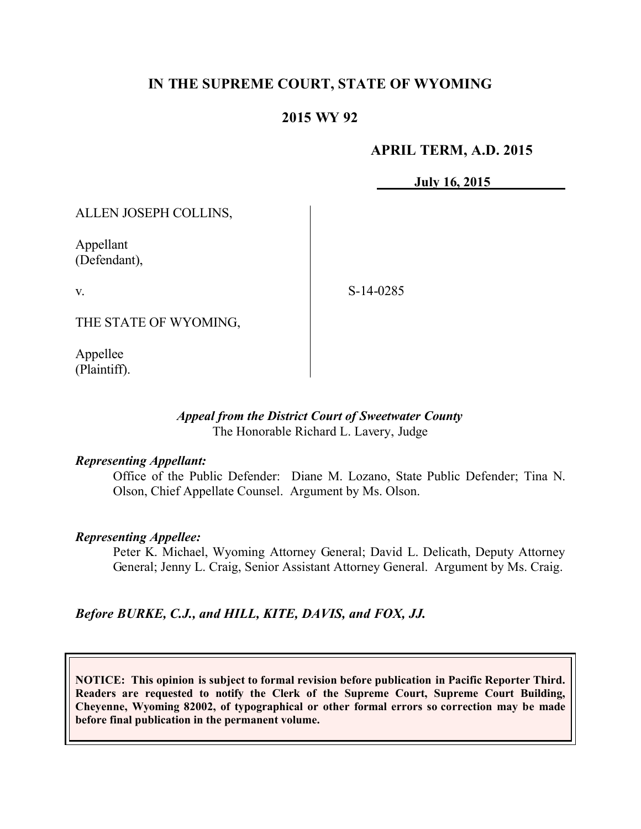# **IN THE SUPREME COURT, STATE OF WYOMING**

## **2015 WY 92**

### **APRIL TERM, A.D. 2015**

**July 16, 2015**

ALLEN JOSEPH COLLINS,

Appellant (Defendant),

v.

S-14-0285

THE STATE OF WYOMING,

Appellee (Plaintiff).

### *Appeal from the District Court of Sweetwater County* The Honorable Richard L. Lavery, Judge

#### *Representing Appellant:*

Office of the Public Defender: Diane M. Lozano, State Public Defender; Tina N. Olson, Chief Appellate Counsel. Argument by Ms. Olson.

#### *Representing Appellee:*

Peter K. Michael, Wyoming Attorney General; David L. Delicath, Deputy Attorney General; Jenny L. Craig, Senior Assistant Attorney General. Argument by Ms. Craig.

*Before BURKE, C.J., and HILL, KITE, DAVIS, and FOX, JJ.*

**NOTICE: This opinion is subject to formal revision before publication in Pacific Reporter Third. Readers are requested to notify the Clerk of the Supreme Court, Supreme Court Building, Cheyenne, Wyoming 82002, of typographical or other formal errors so correction may be made before final publication in the permanent volume.**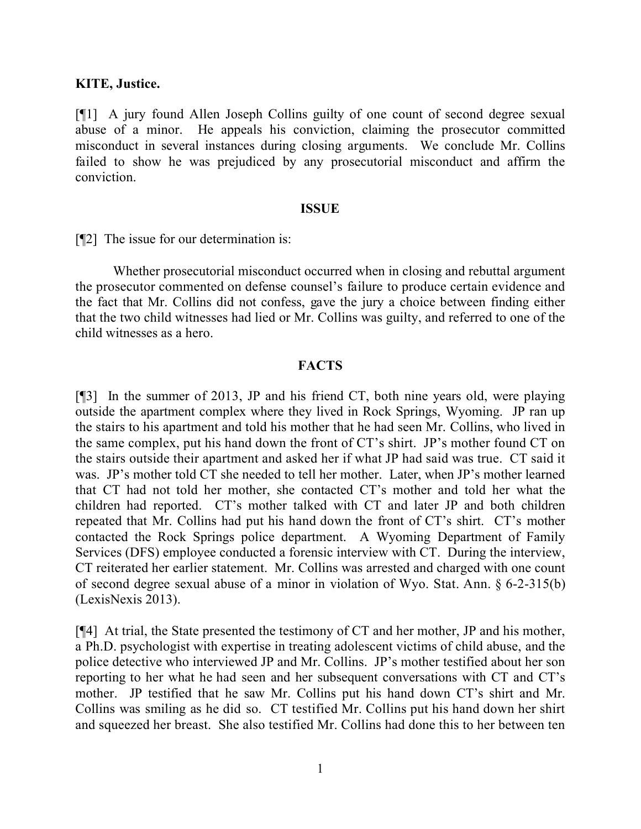#### **KITE, Justice.**

[¶1] A jury found Allen Joseph Collins guilty of one count of second degree sexual abuse of a minor. He appeals his conviction, claiming the prosecutor committed misconduct in several instances during closing arguments. We conclude Mr. Collins failed to show he was prejudiced by any prosecutorial misconduct and affirm the conviction.

#### **ISSUE**

[¶2] The issue for our determination is:

Whether prosecutorial misconduct occurred when in closing and rebuttal argument the prosecutor commented on defense counsel's failure to produce certain evidence and the fact that Mr. Collins did not confess, gave the jury a choice between finding either that the two child witnesses had lied or Mr. Collins was guilty, and referred to one of the child witnesses as a hero.

### **FACTS**

[¶3] In the summer of 2013, JP and his friend CT, both nine years old, were playing outside the apartment complex where they lived in Rock Springs, Wyoming. JP ran up the stairs to his apartment and told his mother that he had seen Mr. Collins, who lived in the same complex, put his hand down the front of CT's shirt. JP's mother found CT on the stairs outside their apartment and asked her if what JP had said was true. CT said it was. JP's mother told CT she needed to tell her mother. Later, when JP's mother learned that CT had not told her mother, she contacted CT's mother and told her what the children had reported. CT's mother talked with CT and later JP and both children repeated that Mr. Collins had put his hand down the front of CT's shirt. CT's mother contacted the Rock Springs police department. A Wyoming Department of Family Services (DFS) employee conducted a forensic interview with CT. During the interview, CT reiterated her earlier statement. Mr. Collins was arrested and charged with one count of second degree sexual abuse of a minor in violation of Wyo. Stat. Ann. § 6-2-315(b) (LexisNexis 2013).

[¶4] At trial, the State presented the testimony of CT and her mother, JP and his mother, a Ph.D. psychologist with expertise in treating adolescent victims of child abuse, and the police detective who interviewed JP and Mr. Collins. JP's mother testified about her son reporting to her what he had seen and her subsequent conversations with CT and CT's mother. JP testified that he saw Mr. Collins put his hand down CT's shirt and Mr. Collins was smiling as he did so. CT testified Mr. Collins put his hand down her shirt and squeezed her breast. She also testified Mr. Collins had done this to her between ten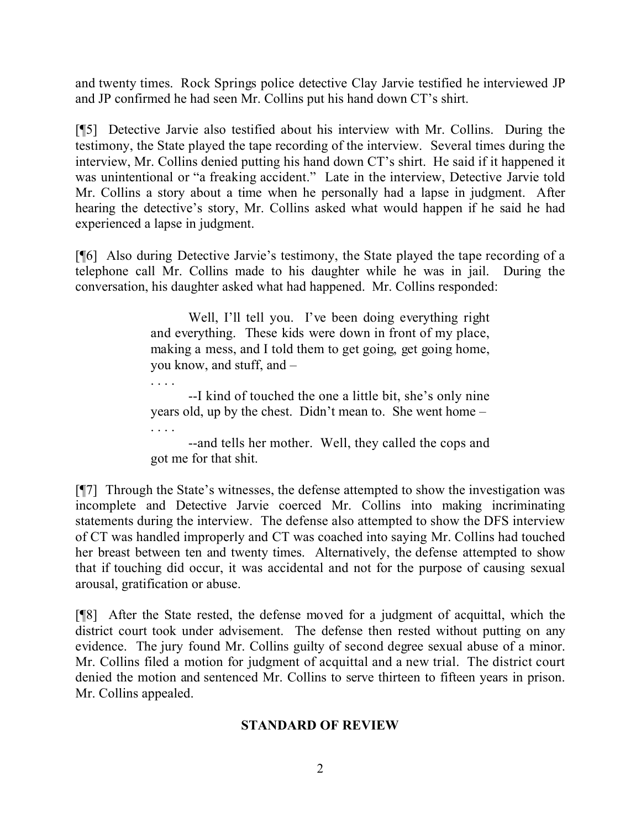and twenty times. Rock Springs police detective Clay Jarvie testified he interviewed JP and JP confirmed he had seen Mr. Collins put his hand down CT's shirt.

[¶5] Detective Jarvie also testified about his interview with Mr. Collins. During the testimony, the State played the tape recording of the interview. Several times during the interview, Mr. Collins denied putting his hand down CT's shirt. He said if it happened it was unintentional or "a freaking accident." Late in the interview, Detective Jarvie told Mr. Collins a story about a time when he personally had a lapse in judgment. After hearing the detective's story, Mr. Collins asked what would happen if he said he had experienced a lapse in judgment.

[¶6] Also during Detective Jarvie's testimony, the State played the tape recording of a telephone call Mr. Collins made to his daughter while he was in jail. During the conversation, his daughter asked what had happened. Mr. Collins responded:

> Well, I'll tell you. I've been doing everything right and everything. These kids were down in front of my place, making a mess, and I told them to get going, get going home, you know, and stuff, and –

> --I kind of touched the one a little bit, she's only nine years old, up by the chest. Didn't mean to. She went home –

. . . .

. . . . --and tells her mother. Well, they called the cops and got me for that shit.

[¶7] Through the State's witnesses, the defense attempted to show the investigation was incomplete and Detective Jarvie coerced Mr. Collins into making incriminating statements during the interview. The defense also attempted to show the DFS interview of CT was handled improperly and CT was coached into saying Mr. Collins had touched her breast between ten and twenty times. Alternatively, the defense attempted to show that if touching did occur, it was accidental and not for the purpose of causing sexual arousal, gratification or abuse.

[¶8] After the State rested, the defense moved for a judgment of acquittal, which the district court took under advisement. The defense then rested without putting on any evidence. The jury found Mr. Collins guilty of second degree sexual abuse of a minor. Mr. Collins filed a motion for judgment of acquittal and a new trial. The district court denied the motion and sentenced Mr. Collins to serve thirteen to fifteen years in prison. Mr. Collins appealed.

## **STANDARD OF REVIEW**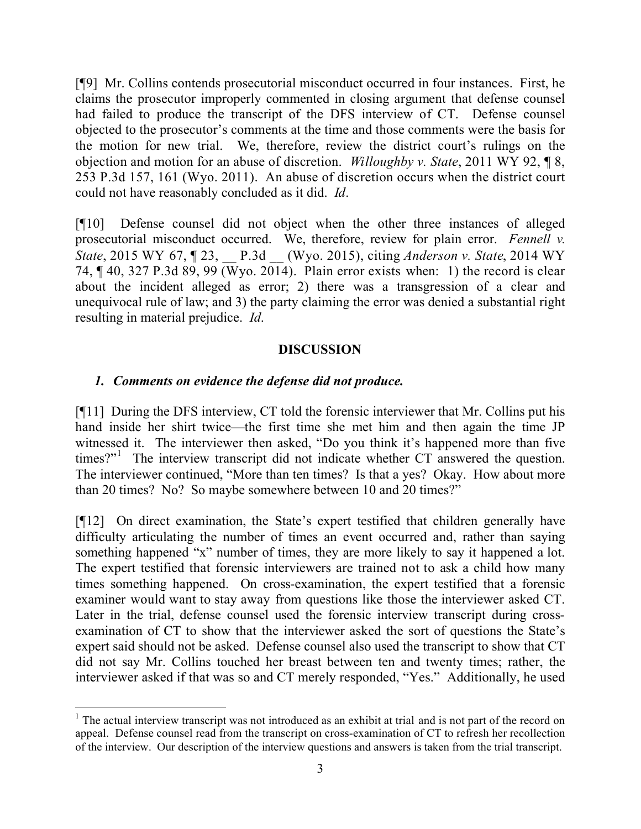[¶9] Mr. Collins contends prosecutorial misconduct occurred in four instances. First, he claims the prosecutor improperly commented in closing argument that defense counsel had failed to produce the transcript of the DFS interview of CT. Defense counsel objected to the prosecutor's comments at the time and those comments were the basis for the motion for new trial. We, therefore, review the district court's rulings on the objection and motion for an abuse of discretion. *Willoughby v. State*, 2011 WY 92, ¶ 8, 253 P.3d 157, 161 (Wyo. 2011). An abuse of discretion occurs when the district court could not have reasonably concluded as it did. *Id*.

[¶10] Defense counsel did not object when the other three instances of alleged prosecutorial misconduct occurred. We, therefore, review for plain error. *Fennell v. State*, 2015 WY 67, ¶ 23, \_\_ P.3d \_\_ (Wyo. 2015), citing *Anderson v. State*, 2014 WY 74,  $\P$  40, 327 P.3d 89, 99 (Wyo. 2014). Plain error exists when: 1) the record is clear about the incident alleged as error; 2) there was a transgression of a clear and unequivocal rule of law; and 3) the party claiming the error was denied a substantial right resulting in material prejudice. *Id*.

## **DISCUSSION**

## *1. Comments on evidence the defense did not produce.*

[¶11] During the DFS interview, CT told the forensic interviewer that Mr. Collins put his hand inside her shirt twice—the first time she met him and then again the time JP witnessed it. The interviewer then asked, "Do you think it's happened more than five times?"<sup>1</sup> The interview transcript did not indicate whether CT answered the question. The interviewer continued, "More than ten times? Is that a yes? Okay. How about more than 20 times? No? So maybe somewhere between 10 and 20 times?"

[¶12] On direct examination, the State's expert testified that children generally have difficulty articulating the number of times an event occurred and, rather than saying something happened "x" number of times, they are more likely to say it happened a lot. The expert testified that forensic interviewers are trained not to ask a child how many times something happened. On cross-examination, the expert testified that a forensic examiner would want to stay away from questions like those the interviewer asked CT. Later in the trial, defense counsel used the forensic interview transcript during crossexamination of CT to show that the interviewer asked the sort of questions the State's expert said should not be asked. Defense counsel also used the transcript to show that CT did not say Mr. Collins touched her breast between ten and twenty times; rather, the interviewer asked if that was so and CT merely responded, "Yes." Additionally, he used

<sup>&</sup>lt;sup>1</sup> The actual interview transcript was not introduced as an exhibit at trial and is not part of the record on appeal. Defense counsel read from the transcript on cross-examination of CT to refresh her recollection of the interview. Our description of the interview questions and answers is taken from the trial transcript.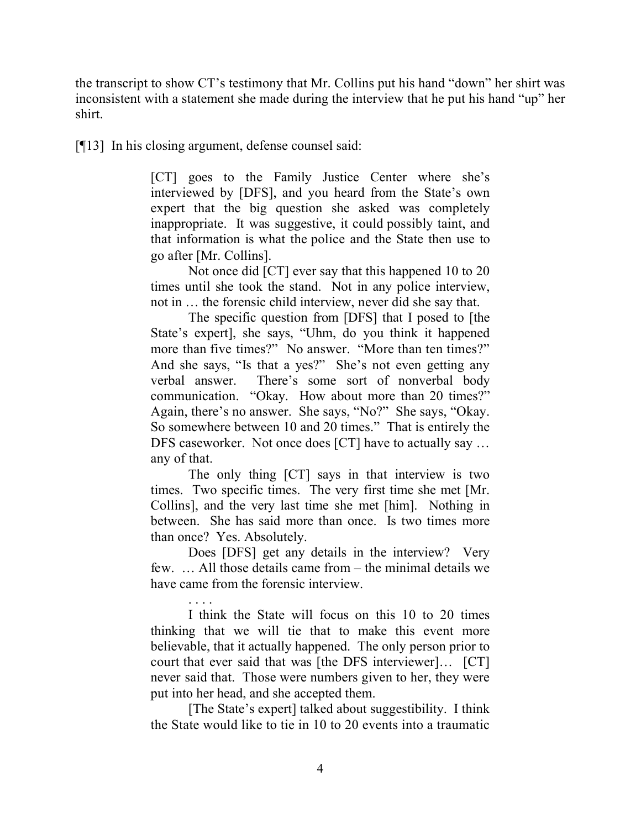the transcript to show CT's testimony that Mr. Collins put his hand "down" her shirt was inconsistent with a statement she made during the interview that he put his hand "up" her shirt.

[¶13] In his closing argument, defense counsel said:

[CT] goes to the Family Justice Center where she's interviewed by [DFS], and you heard from the State's own expert that the big question she asked was completely inappropriate. It was suggestive, it could possibly taint, and that information is what the police and the State then use to go after [Mr. Collins].

Not once did [CT] ever say that this happened 10 to 20 times until she took the stand. Not in any police interview, not in … the forensic child interview, never did she say that.

The specific question from [DFS] that I posed to [the State's expert], she says, "Uhm, do you think it happened more than five times?" No answer. "More than ten times?" And she says, "Is that a yes?" She's not even getting any verbal answer. There's some sort of nonverbal body communication. "Okay. How about more than 20 times?" Again, there's no answer. She says, "No?" She says, "Okay. So somewhere between 10 and 20 times." That is entirely the DFS caseworker. Not once does [CT] have to actually say … any of that.

The only thing [CT] says in that interview is two times. Two specific times. The very first time she met [Mr. Collins], and the very last time she met [him]. Nothing in between. She has said more than once. Is two times more than once? Yes. Absolutely.

Does [DFS] get any details in the interview? Very few. … All those details came from – the minimal details we have came from the forensic interview.

. . . . I think the State will focus on this 10 to 20 times thinking that we will tie that to make this event more believable, that it actually happened. The only person prior to court that ever said that was [the DFS interviewer]… [CT] never said that. Those were numbers given to her, they were put into her head, and she accepted them.

[The State's expert] talked about suggestibility. I think the State would like to tie in 10 to 20 events into a traumatic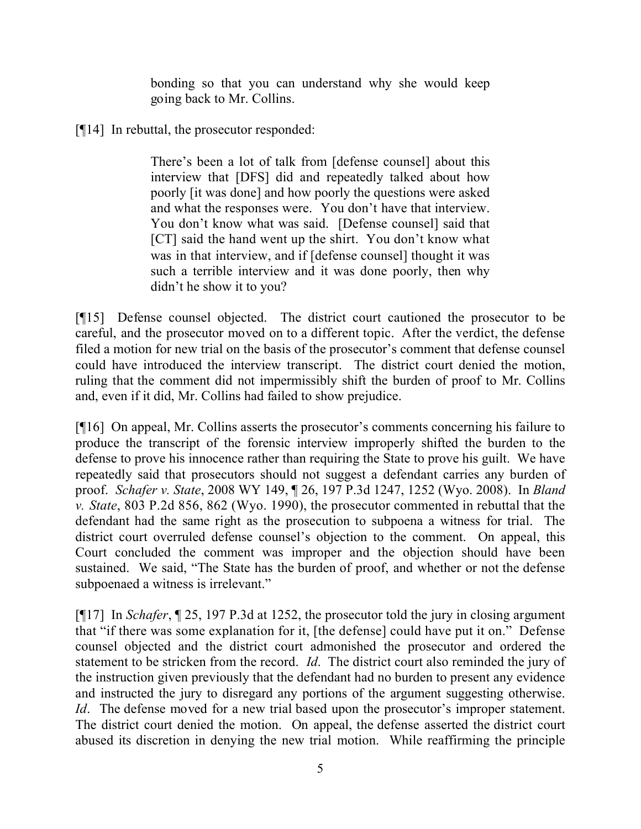bonding so that you can understand why she would keep going back to Mr. Collins.

[¶14] In rebuttal, the prosecutor responded:

There's been a lot of talk from [defense counsel] about this interview that [DFS] did and repeatedly talked about how poorly [it was done] and how poorly the questions were asked and what the responses were. You don't have that interview. You don't know what was said. [Defense counsel] said that [CT] said the hand went up the shirt. You don't know what was in that interview, and if [defense counsel] thought it was such a terrible interview and it was done poorly, then why didn't he show it to you?

[¶15] Defense counsel objected. The district court cautioned the prosecutor to be careful, and the prosecutor moved on to a different topic. After the verdict, the defense filed a motion for new trial on the basis of the prosecutor's comment that defense counsel could have introduced the interview transcript. The district court denied the motion, ruling that the comment did not impermissibly shift the burden of proof to Mr. Collins and, even if it did, Mr. Collins had failed to show prejudice.

[¶16] On appeal, Mr. Collins asserts the prosecutor's comments concerning his failure to produce the transcript of the forensic interview improperly shifted the burden to the defense to prove his innocence rather than requiring the State to prove his guilt. We have repeatedly said that prosecutors should not suggest a defendant carries any burden of proof. *Schafer v. State*, 2008 WY 149, ¶ 26, 197 P.3d 1247, 1252 (Wyo. 2008). In *Bland v. State*, 803 P.2d 856, 862 (Wyo. 1990), the prosecutor commented in rebuttal that the defendant had the same right as the prosecution to subpoena a witness for trial. The district court overruled defense counsel's objection to the comment. On appeal, this Court concluded the comment was improper and the objection should have been sustained. We said, "The State has the burden of proof, and whether or not the defense subpoenaed a witness is irrelevant."

[¶17] In *Schafer*, ¶ 25, 197 P.3d at 1252, the prosecutor told the jury in closing argument that "if there was some explanation for it, [the defense] could have put it on." Defense counsel objected and the district court admonished the prosecutor and ordered the statement to be stricken from the record. *Id*. The district court also reminded the jury of the instruction given previously that the defendant had no burden to present any evidence and instructed the jury to disregard any portions of the argument suggesting otherwise. *Id*. The defense moved for a new trial based upon the prosecutor's improper statement. The district court denied the motion. On appeal, the defense asserted the district court abused its discretion in denying the new trial motion. While reaffirming the principle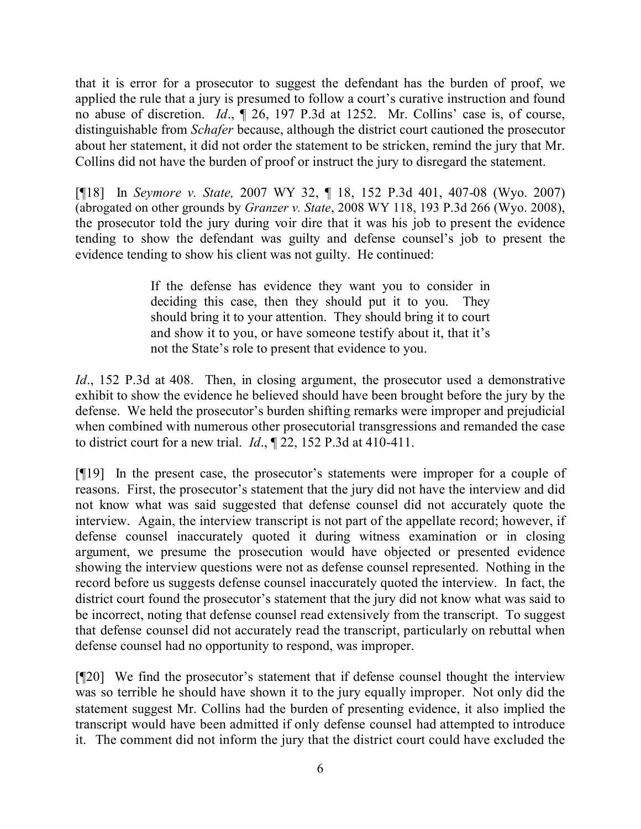that it is error for a prosecutor to suggest the defendant has the burden of proof, we applied the rule that a jury is presumed to follow a court's curative instruction and found no abuse of discretion. *Id*., ¶ 26, 197 P.3d at 1252. Mr. Collins' case is, of course, distinguishable from *Schafer* because, although the district court cautioned the prosecutor about her statement, it did not order the statement to be stricken, remind the jury that Mr. Collins did not have the burden of proof or instruct the jury to disregard the statement.

[¶18] In *Seymore v. State,* 2007 WY 32, ¶ 18, 152 P.3d 401, 407-08 (Wyo. 2007) (abrogated on other grounds by *Granzer v. State*, 2008 WY 118, 193 P.3d 266 (Wyo. 2008), the prosecutor told the jury during voir dire that it was his job to present the evidence tending to show the defendant was guilty and defense counsel's job to present the evidence tending to show his client was not guilty. He continued:

> If the defense has evidence they want you to consider in deciding this case, then they should put it to you. They should bring it to your attention. They should bring it to court and show it to you, or have someone testify about it, that it's not the State's role to present that evidence to you.

*Id.*, 152 P.3d at 408. Then, in closing argument, the prosecutor used a demonstrative exhibit to show the evidence he believed should have been brought before the jury by the defense. We held the prosecutor's burden shifting remarks were improper and prejudicial when combined with numerous other prosecutorial transgressions and remanded the case to district court for a new trial. *Id*., ¶ 22, 152 P.3d at 410-411.

[¶19] In the present case, the prosecutor's statements were improper for a couple of reasons. First, the prosecutor's statement that the jury did not have the interview and did not know what was said suggested that defense counsel did not accurately quote the interview. Again, the interview transcript is not part of the appellate record; however, if defense counsel inaccurately quoted it during witness examination or in closing argument, we presume the prosecution would have objected or presented evidence showing the interview questions were not as defense counsel represented. Nothing in the record before us suggests defense counsel inaccurately quoted the interview. In fact, the district court found the prosecutor's statement that the jury did not know what was said to be incorrect, noting that defense counsel read extensively from the transcript. To suggest that defense counsel did not accurately read the transcript, particularly on rebuttal when defense counsel had no opportunity to respond, was improper.

[¶20] We find the prosecutor's statement that if defense counsel thought the interview was so terrible he should have shown it to the jury equally improper. Not only did the statement suggest Mr. Collins had the burden of presenting evidence, it also implied the transcript would have been admitted if only defense counsel had attempted to introduce it. The comment did not inform the jury that the district court could have excluded the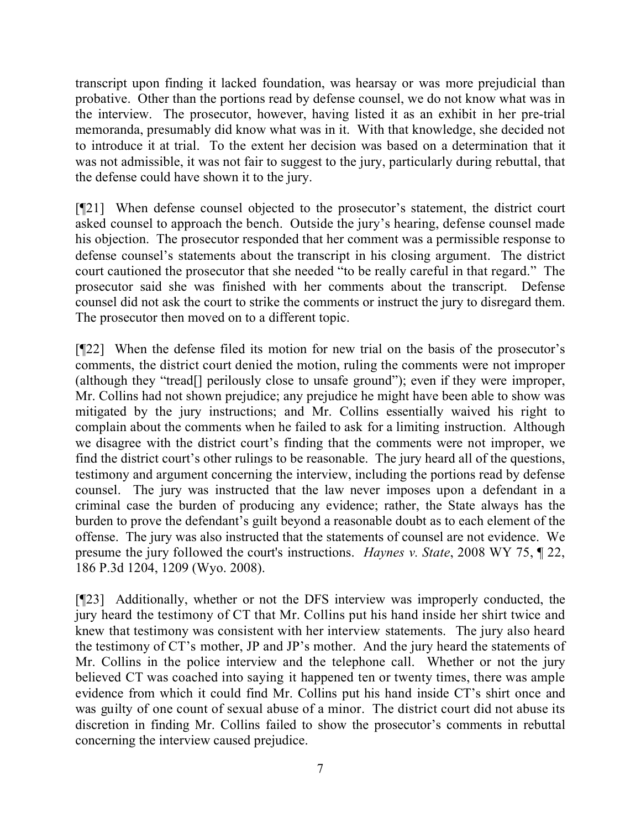transcript upon finding it lacked foundation, was hearsay or was more prejudicial than probative. Other than the portions read by defense counsel, we do not know what was in the interview. The prosecutor, however, having listed it as an exhibit in her pre-trial memoranda, presumably did know what was in it. With that knowledge, she decided not to introduce it at trial. To the extent her decision was based on a determination that it was not admissible, it was not fair to suggest to the jury, particularly during rebuttal, that the defense could have shown it to the jury.

[¶21] When defense counsel objected to the prosecutor's statement, the district court asked counsel to approach the bench. Outside the jury's hearing, defense counsel made his objection. The prosecutor responded that her comment was a permissible response to defense counsel's statements about the transcript in his closing argument. The district court cautioned the prosecutor that she needed "to be really careful in that regard." The prosecutor said she was finished with her comments about the transcript. Defense counsel did not ask the court to strike the comments or instruct the jury to disregard them. The prosecutor then moved on to a different topic.

[¶22] When the defense filed its motion for new trial on the basis of the prosecutor's comments, the district court denied the motion, ruling the comments were not improper (although they "tread[] perilously close to unsafe ground"); even if they were improper, Mr. Collins had not shown prejudice; any prejudice he might have been able to show was mitigated by the jury instructions; and Mr. Collins essentially waived his right to complain about the comments when he failed to ask for a limiting instruction. Although we disagree with the district court's finding that the comments were not improper, we find the district court's other rulings to be reasonable. The jury heard all of the questions, testimony and argument concerning the interview, including the portions read by defense counsel. The jury was instructed that the law never imposes upon a defendant in a criminal case the burden of producing any evidence; rather, the State always has the burden to prove the defendant's guilt beyond a reasonable doubt as to each element of the offense. The jury was also instructed that the statements of counsel are not evidence. We presume the jury followed the court's instructions. *Haynes v. State*, 2008 WY 75, ¶ 22, 186 P.3d 1204, 1209 (Wyo. 2008).

[¶23] Additionally, whether or not the DFS interview was improperly conducted, the jury heard the testimony of CT that Mr. Collins put his hand inside her shirt twice and knew that testimony was consistent with her interview statements. The jury also heard the testimony of CT's mother, JP and JP's mother. And the jury heard the statements of Mr. Collins in the police interview and the telephone call. Whether or not the jury believed CT was coached into saying it happened ten or twenty times, there was ample evidence from which it could find Mr. Collins put his hand inside CT's shirt once and was guilty of one count of sexual abuse of a minor. The district court did not abuse its discretion in finding Mr. Collins failed to show the prosecutor's comments in rebuttal concerning the interview caused prejudice.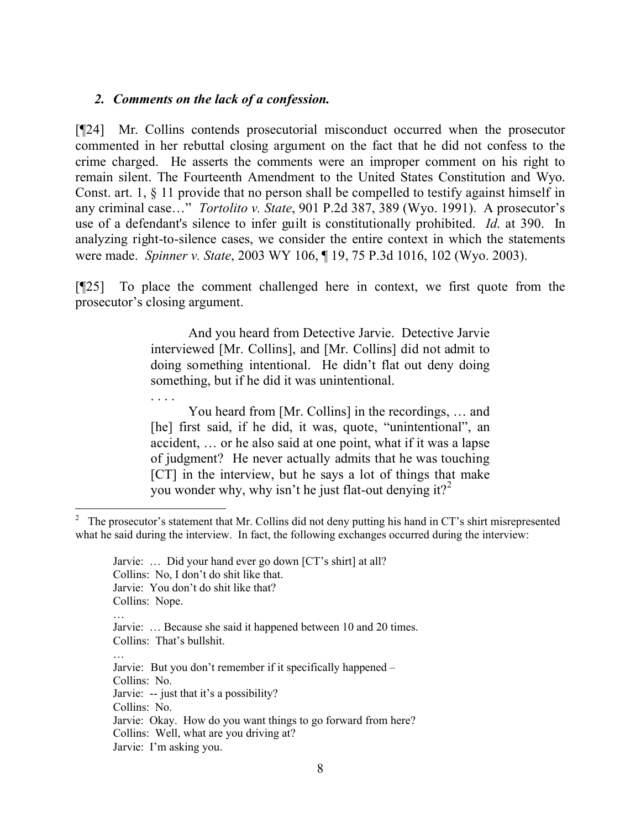### *2. Comments on the lack of a confession.*

. . . .

[¶24] Mr. Collins contends prosecutorial misconduct occurred when the prosecutor commented in her rebuttal closing argument on the fact that he did not confess to the crime charged. He asserts the comments were an improper comment on his right to remain silent. The Fourteenth Amendment to the United States Constitution and Wyo. Const. art. 1, § 11 provide that no person shall be compelled to testify against himself in any criminal case…" *Tortolito v. State*, 901 P.2d 387, 389 (Wyo. 1991). A prosecutor's use of a defendant's silence to infer guilt is constitutionally prohibited. *Id*. at 390. In analyzing right-to-silence cases, we consider the entire context in which the statements were made. *Spinner v. State*, 2003 WY 106, ¶ 19, 75 P.3d 1016, 102 (Wyo. 2003).

[¶25] To place the comment challenged here in context, we first quote from the prosecutor's closing argument.

> And you heard from Detective Jarvie. Detective Jarvie interviewed [Mr. Collins], and [Mr. Collins] did not admit to doing something intentional. He didn't flat out deny doing something, but if he did it was unintentional.

> You heard from [Mr. Collins] in the recordings, … and [he] first said, if he did, it was, quote, "unintentional", an accident, … or he also said at one point, what if it was a lapse of judgment? He never actually admits that he was touching [CT] in the interview, but he says a lot of things that make you wonder why, why isn't he just flat-out denying it?<sup>2</sup>

<sup>&</sup>lt;sup>2</sup> The prosecutor's statement that Mr. Collins did not deny putting his hand in CT's shirt misrepresented what he said during the interview. In fact, the following exchanges occurred during the interview:

Jarvie: … Did your hand ever go down [CT's shirt] at all? Collins: No, I don't do shit like that. Jarvie: You don't do shit like that? Collins: Nope. … Jarvie: … Because she said it happened between 10 and 20 times. Collins: That's bullshit. … Jarvie: But you don't remember if it specifically happened – Collins: No. Jarvie: -- just that it's a possibility? Collins: No. Jarvie: Okay. How do you want things to go forward from here? Collins: Well, what are you driving at? Jarvie: I'm asking you.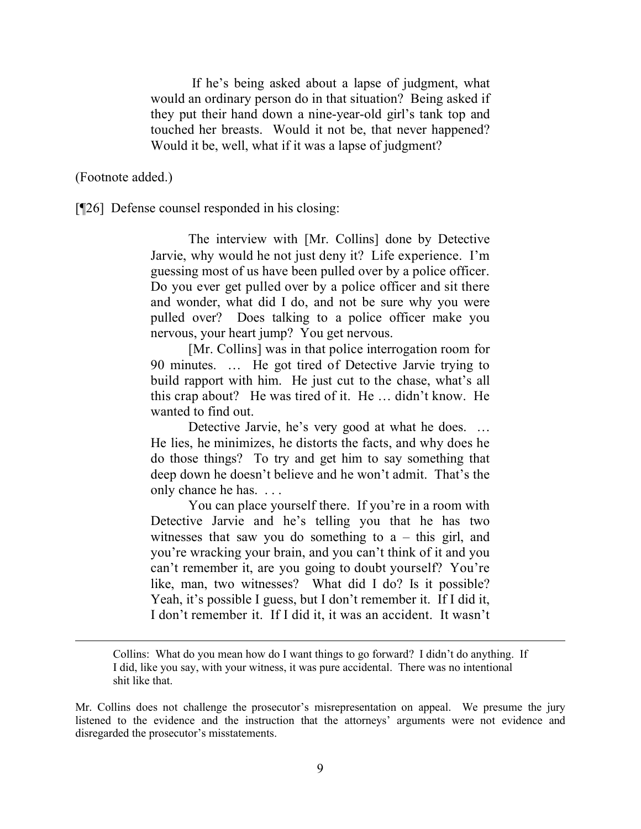If he's being asked about a lapse of judgment, what would an ordinary person do in that situation? Being asked if they put their hand down a nine-year-old girl's tank top and touched her breasts. Would it not be, that never happened? Would it be, well, what if it was a lapse of judgment?

(Footnote added.)

[¶26] Defense counsel responded in his closing:

The interview with [Mr. Collins] done by Detective Jarvie, why would he not just deny it? Life experience. I'm guessing most of us have been pulled over by a police officer. Do you ever get pulled over by a police officer and sit there and wonder, what did I do, and not be sure why you were pulled over? Does talking to a police officer make you nervous, your heart jump? You get nervous.

[Mr. Collins] was in that police interrogation room for 90 minutes. … He got tired of Detective Jarvie trying to build rapport with him. He just cut to the chase, what's all this crap about? He was tired of it. He … didn't know. He wanted to find out.

Detective Jarvie, he's very good at what he does. ... He lies, he minimizes, he distorts the facts, and why does he do those things? To try and get him to say something that deep down he doesn't believe and he won't admit. That's the only chance he has. . . .

You can place yourself there. If you're in a room with Detective Jarvie and he's telling you that he has two witnesses that saw you do something to  $a - this$  girl, and you're wracking your brain, and you can't think of it and you can't remember it, are you going to doubt yourself? You're like, man, two witnesses? What did I do? Is it possible? Yeah, it's possible I guess, but I don't remember it. If I did it, I don't remember it. If I did it, it was an accident. It wasn't

Collins: What do you mean how do I want things to go forward? I didn't do anything. If I did, like you say, with your witness, it was pure accidental. There was no intentional shit like that.

Mr. Collins does not challenge the prosecutor's misrepresentation on appeal. We presume the jury listened to the evidence and the instruction that the attorneys' arguments were not evidence and disregarded the prosecutor's misstatements.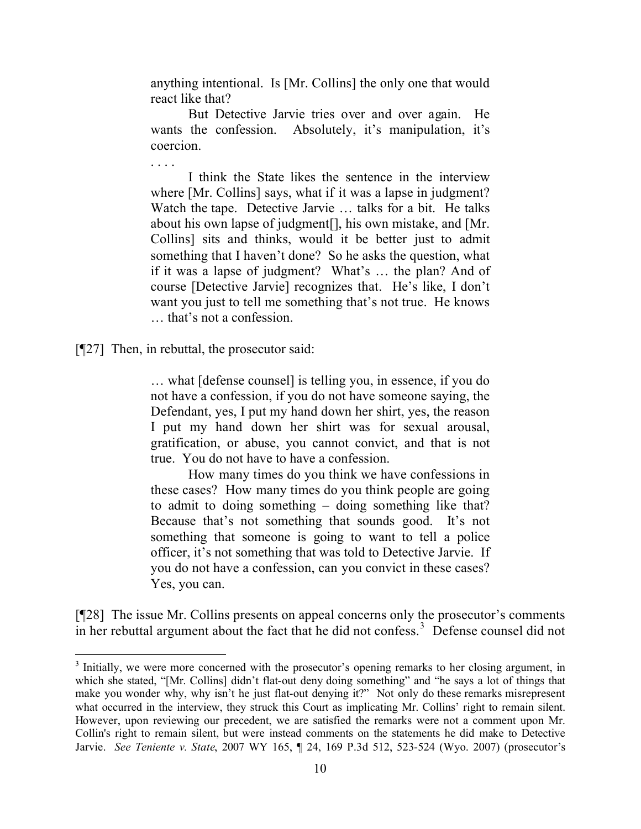anything intentional. Is [Mr. Collins] the only one that would react like that?

But Detective Jarvie tries over and over again. He wants the confession. Absolutely, it's manipulation, it's coercion.

I think the State likes the sentence in the interview where [Mr. Collins] says, what if it was a lapse in judgment? Watch the tape. Detective Jarvie … talks for a bit. He talks about his own lapse of judgment[], his own mistake, and [Mr. Collins] sits and thinks, would it be better just to admit something that I haven't done? So he asks the question, what if it was a lapse of judgment? What's … the plan? And of course [Detective Jarvie] recognizes that. He's like, I don't want you just to tell me something that's not true. He knows … that's not a confession.

[¶27] Then, in rebuttal, the prosecutor said:

 $\overline{a}$ 

. . . .

… what [defense counsel] is telling you, in essence, if you do not have a confession, if you do not have someone saying, the Defendant, yes, I put my hand down her shirt, yes, the reason I put my hand down her shirt was for sexual arousal, gratification, or abuse, you cannot convict, and that is not true. You do not have to have a confession.

How many times do you think we have confessions in these cases? How many times do you think people are going to admit to doing something – doing something like that? Because that's not something that sounds good. It's not something that someone is going to want to tell a police officer, it's not something that was told to Detective Jarvie. If you do not have a confession, can you convict in these cases? Yes, you can.

[¶28] The issue Mr. Collins presents on appeal concerns only the prosecutor's comments in her rebuttal argument about the fact that he did not confess.<sup>3</sup> Defense counsel did not

<sup>&</sup>lt;sup>3</sup> Initially, we were more concerned with the prosecutor's opening remarks to her closing argument, in which she stated, "[Mr. Collins] didn't flat-out deny doing something" and "he says a lot of things that make you wonder why, why isn't he just flat-out denying it?" Not only do these remarks misrepresent what occurred in the interview, they struck this Court as implicating Mr. Collins' right to remain silent. However, upon reviewing our precedent, we are satisfied the remarks were not a comment upon Mr. Collin's right to remain silent, but were instead comments on the statements he did make to Detective Jarvie. *See Teniente v. State*, 2007 WY 165, ¶ 24, 169 P.3d 512, 523-524 (Wyo. 2007) (prosecutor's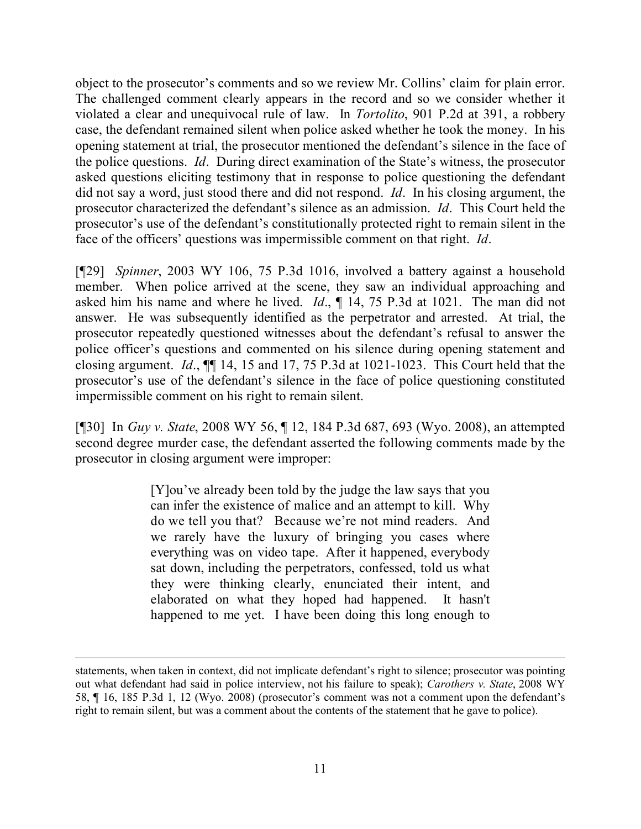object to the prosecutor's comments and so we review Mr. Collins' claim for plain error. The challenged comment clearly appears in the record and so we consider whether it violated a clear and unequivocal rule of law. In *Tortolito*, 901 P.2d at 391, a robbery case, the defendant remained silent when police asked whether he took the money. In his opening statement at trial, the prosecutor mentioned the defendant's silence in the face of the police questions. *Id*. During direct examination of the State's witness, the prosecutor asked questions eliciting testimony that in response to police questioning the defendant did not say a word, just stood there and did not respond. *Id*. In his closing argument, the prosecutor characterized the defendant's silence as an admission. *Id*. This Court held the prosecutor's use of the defendant's constitutionally protected right to remain silent in the face of the officers' questions was impermissible comment on that right. *Id*.

[¶29] *Spinner*, 2003 WY 106, 75 P.3d 1016, involved a battery against a household member. When police arrived at the scene, they saw an individual approaching and asked him his name and where he lived. *Id*., ¶ 14, 75 P.3d at 1021. The man did not answer. He was subsequently identified as the perpetrator and arrested. At trial, the prosecutor repeatedly questioned witnesses about the defendant's refusal to answer the police officer's questions and commented on his silence during opening statement and closing argument. *Id*., ¶¶ 14, 15 and 17, 75 P.3d at 1021-1023. This Court held that the prosecutor's use of the defendant's silence in the face of police questioning constituted impermissible comment on his right to remain silent.

[¶30] In *Guy v. State*, 2008 WY 56, ¶ 12, 184 P.3d 687, 693 (Wyo. 2008), an attempted second degree murder case, the defendant asserted the following comments made by the prosecutor in closing argument were improper:

> [Y]ou've already been told by the judge the law says that you can infer the existence of malice and an attempt to kill. Why do we tell you that? Because we're not mind readers. And we rarely have the luxury of bringing you cases where everything was on video tape. After it happened, everybody sat down, including the perpetrators, confessed, told us what they were thinking clearly, enunciated their intent, and elaborated on what they hoped had happened. It hasn't happened to me yet. I have been doing this long enough to

statements, when taken in context, did not implicate defendant's right to silence; prosecutor was pointing out what defendant had said in police interview, not his failure to speak); *Carothers v. State*, 2008 WY 58, ¶ 16, 185 P.3d 1, 12 (Wyo. 2008) (prosecutor's comment was not a comment upon the defendant's right to remain silent, but was a comment about the contents of the statement that he gave to police).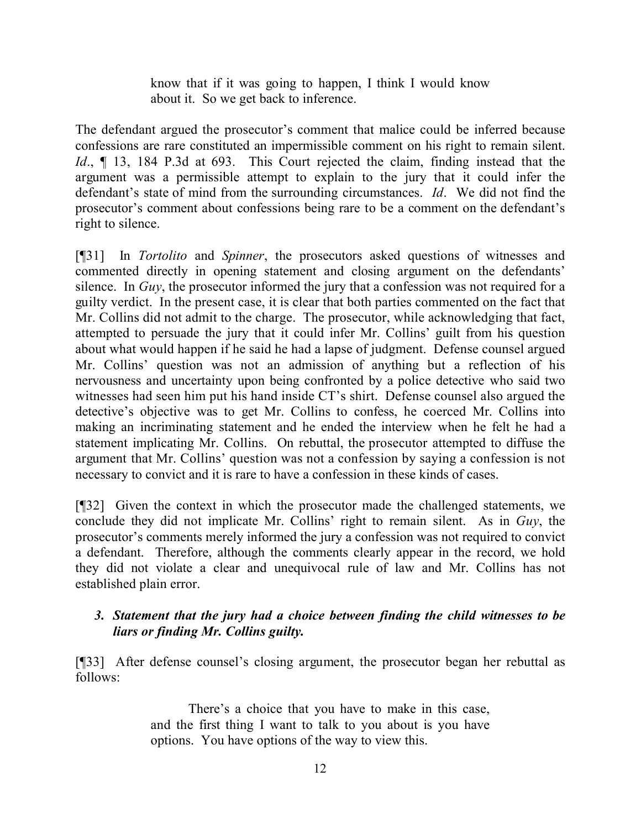know that if it was going to happen, I think I would know about it. So we get back to inference.

The defendant argued the prosecutor's comment that malice could be inferred because confessions are rare constituted an impermissible comment on his right to remain silent. *Id*., ¶ 13, 184 P.3d at 693. This Court rejected the claim, finding instead that the argument was a permissible attempt to explain to the jury that it could infer the defendant's state of mind from the surrounding circumstances. *Id*. We did not find the prosecutor's comment about confessions being rare to be a comment on the defendant's right to silence.

[¶31] In *Tortolito* and *Spinner*, the prosecutors asked questions of witnesses and commented directly in opening statement and closing argument on the defendants' silence. In *Guy*, the prosecutor informed the jury that a confession was not required for a guilty verdict. In the present case, it is clear that both parties commented on the fact that Mr. Collins did not admit to the charge. The prosecutor, while acknowledging that fact, attempted to persuade the jury that it could infer Mr. Collins' guilt from his question about what would happen if he said he had a lapse of judgment. Defense counsel argued Mr. Collins' question was not an admission of anything but a reflection of his nervousness and uncertainty upon being confronted by a police detective who said two witnesses had seen him put his hand inside CT's shirt. Defense counsel also argued the detective's objective was to get Mr. Collins to confess, he coerced Mr. Collins into making an incriminating statement and he ended the interview when he felt he had a statement implicating Mr. Collins. On rebuttal, the prosecutor attempted to diffuse the argument that Mr. Collins' question was not a confession by saying a confession is not necessary to convict and it is rare to have a confession in these kinds of cases.

[¶32] Given the context in which the prosecutor made the challenged statements, we conclude they did not implicate Mr. Collins' right to remain silent. As in *Guy*, the prosecutor's comments merely informed the jury a confession was not required to convict a defendant. Therefore, although the comments clearly appear in the record, we hold they did not violate a clear and unequivocal rule of law and Mr. Collins has not established plain error.

## *3. Statement that the jury had a choice between finding the child witnesses to be liars or finding Mr. Collins guilty.*

[¶33] After defense counsel's closing argument, the prosecutor began her rebuttal as follows:

> There's a choice that you have to make in this case, and the first thing I want to talk to you about is you have options. You have options of the way to view this.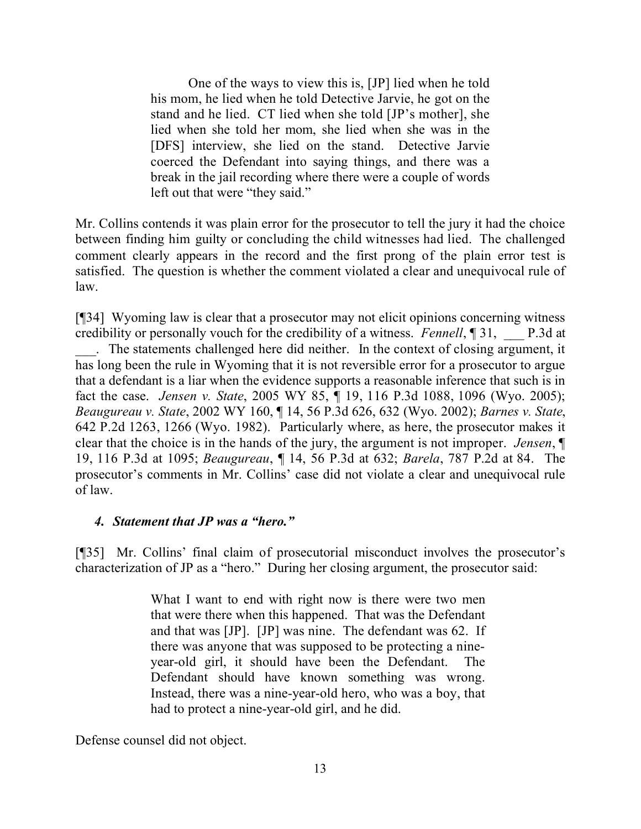One of the ways to view this is, [JP] lied when he told his mom, he lied when he told Detective Jarvie, he got on the stand and he lied. CT lied when she told [JP's mother], she lied when she told her mom, she lied when she was in the [DFS] interview, she lied on the stand. Detective Jarvie coerced the Defendant into saying things, and there was a break in the jail recording where there were a couple of words left out that were "they said."

Mr. Collins contends it was plain error for the prosecutor to tell the jury it had the choice between finding him guilty or concluding the child witnesses had lied. The challenged comment clearly appears in the record and the first prong of the plain error test is satisfied. The question is whether the comment violated a clear and unequivocal rule of law.

[¶34] Wyoming law is clear that a prosecutor may not elicit opinions concerning witness credibility or personally vouch for the credibility of a witness. *Fennell*, ¶ 31, \_\_\_ P.3d at \_\_\_. The statements challenged here did neither. In the context of closing argument, it has long been the rule in Wyoming that it is not reversible error for a prosecutor to argue that a defendant is a liar when the evidence supports a reasonable inference that such is in fact the case. *Jensen v. State*, 2005 WY 85, ¶ 19, 116 P.3d 1088, 1096 (Wyo. 2005); *Beaugureau v. State*, 2002 WY 160, ¶ 14, 56 P.3d 626, 632 (Wyo. 2002); *Barnes v. State*, 642 P.2d 1263, 1266 (Wyo. 1982). Particularly where, as here, the prosecutor makes it clear that the choice is in the hands of the jury, the argument is not improper. *Jensen*, ¶ 19, 116 P.3d at 1095; *Beaugureau*, ¶ 14, 56 P.3d at 632; *Barela*, 787 P.2d at 84. The prosecutor's comments in Mr. Collins' case did not violate a clear and unequivocal rule of law.

### *4. Statement that JP was a "hero."*

[¶35] Mr. Collins' final claim of prosecutorial misconduct involves the prosecutor's characterization of JP as a "hero." During her closing argument, the prosecutor said:

> What I want to end with right now is there were two men that were there when this happened. That was the Defendant and that was [JP]. [JP] was nine. The defendant was 62. If there was anyone that was supposed to be protecting a nineyear-old girl, it should have been the Defendant. The Defendant should have known something was wrong. Instead, there was a nine-year-old hero, who was a boy, that had to protect a nine-year-old girl, and he did.

Defense counsel did not object.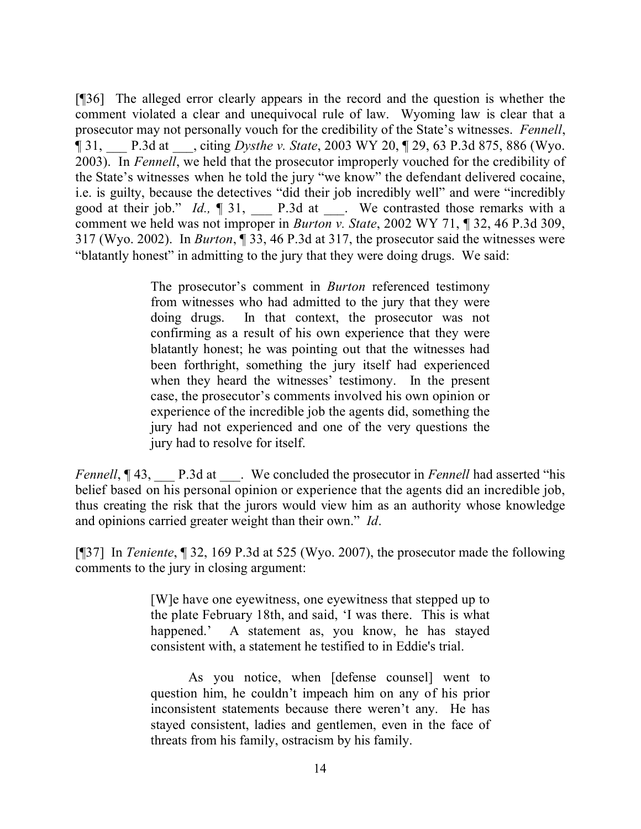[¶36] The alleged error clearly appears in the record and the question is whether the comment violated a clear and unequivocal rule of law. Wyoming law is clear that a prosecutor may not personally vouch for the credibility of the State's witnesses. *Fennell*, ¶ 31, \_\_\_ P.3d at \_\_\_, citing *Dysthe v. State*, 2003 WY 20, ¶ 29, 63 P.3d 875, 886 (Wyo. 2003). In *Fennell*, we held that the prosecutor improperly vouched for the credibility of the State's witnesses when he told the jury "we know" the defendant delivered cocaine, i.e. is guilty, because the detectives "did their job incredibly well" and were "incredibly good at their job." *Id.*,  $\P$  31, \_\_\_\_\_ P.3d at \_\_\_\_. We contrasted those remarks with a comment we held was not improper in *Burton v. State*, 2002 WY 71, ¶ 32, 46 P.3d 309, 317 (Wyo. 2002). In *Burton*, ¶ 33, 46 P.3d at 317, the prosecutor said the witnesses were "blatantly honest" in admitting to the jury that they were doing drugs. We said:

> The prosecutor's comment in *Burton* referenced testimony from witnesses who had admitted to the jury that they were doing drugs. In that context, the prosecutor was not confirming as a result of his own experience that they were blatantly honest; he was pointing out that the witnesses had been forthright, something the jury itself had experienced when they heard the witnesses' testimony. In the present case, the prosecutor's comments involved his own opinion or experience of the incredible job the agents did, something the jury had not experienced and one of the very questions the jury had to resolve for itself.

*Fennell*,  $\P$  43, P.3d at We concluded the prosecutor in *Fennell* had asserted "his belief based on his personal opinion or experience that the agents did an incredible job, thus creating the risk that the jurors would view him as an authority whose knowledge and opinions carried greater weight than their own." *Id*.

[¶37] In *Teniente*, ¶ 32, 169 P.3d at 525 (Wyo. 2007), the prosecutor made the following comments to the jury in closing argument:

> [W]e have one eyewitness, one eyewitness that stepped up to the plate February 18th, and said, 'I was there. This is what happened.' A statement as, you know, he has stayed consistent with, a statement he testified to in Eddie's trial.

> As you notice, when [defense counsel] went to question him, he couldn't impeach him on any of his prior inconsistent statements because there weren't any. He has stayed consistent, ladies and gentlemen, even in the face of threats from his family, ostracism by his family.